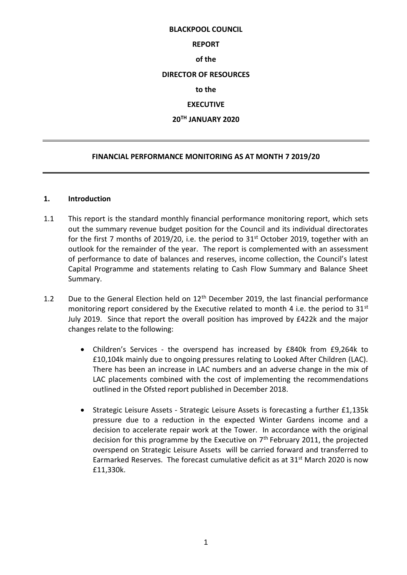#### **BLACKPOOL COUNCIL**

#### **REPORT**

#### **of the**

### **DIRECTOR OF RESOURCES**

### **to the**

## **EXECUTIVE**

## **20TH JANUARY 2020**

### **FINANCIAL PERFORMANCE MONITORING AS AT MONTH 7 2019/20**

### **1. Introduction**

- 1.1 This report is the standard monthly financial performance monitoring report, which sets out the summary revenue budget position for the Council and its individual directorates for the first 7 months of 2019/20, i.e. the period to 31<sup>st</sup> October 2019, together with an outlook for the remainder of the year. The report is complemented with an assessment of performance to date of balances and reserves, income collection, the Council's latest Capital Programme and statements relating to Cash Flow Summary and Balance Sheet Summary.
- 1.2 Due to the General Election held on  $12<sup>th</sup>$  December 2019, the last financial performance monitoring report considered by the Executive related to month 4 i.e. the period to  $31^{st}$ July 2019. Since that report the overall position has improved by £422k and the major changes relate to the following:
	- Children's Services the overspend has increased by £840k from £9,264k to £10,104k mainly due to ongoing pressures relating to Looked After Children (LAC). There has been an increase in LAC numbers and an adverse change in the mix of LAC placements combined with the cost of implementing the recommendations outlined in the Ofsted report published in December 2018.
	- Strategic Leisure Assets Strategic Leisure Assets is forecasting a further £1,135k pressure due to a reduction in the expected Winter Gardens income and a decision to accelerate repair work at the Tower. In accordance with the original decision for this programme by the Executive on  $7<sup>th</sup>$  February 2011, the projected overspend on Strategic Leisure Assets will be carried forward and transferred to Earmarked Reserves. The forecast cumulative deficit as at 31<sup>st</sup> March 2020 is now £11,330k.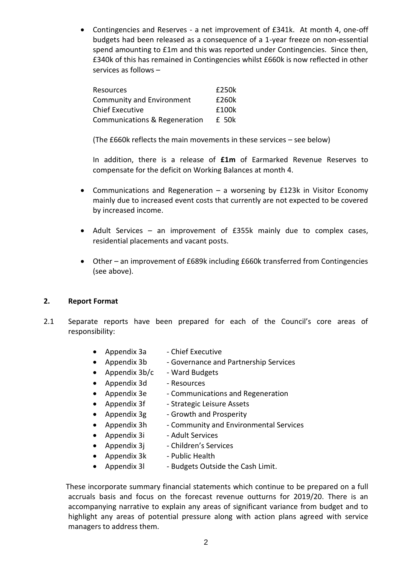Contingencies and Reserves - a net improvement of £341k. At month 4, one-off budgets had been released as a consequence of a 1-year freeze on non-essential spend amounting to £1m and this was reported under Contingencies. Since then, £340k of this has remained in Contingencies whilst £660k is now reflected in other services as follows –

| Resources                        | £250k |
|----------------------------------|-------|
| <b>Community and Environment</b> | £260k |
| <b>Chief Executive</b>           | f100k |
| Communications & Regeneration    | £ 50k |

(The £660k reflects the main movements in these services – see below)

In addition, there is a release of **£1m** of Earmarked Revenue Reserves to compensate for the deficit on Working Balances at month 4.

- Communications and Regeneration a worsening by £123k in Visitor Economy mainly due to increased event costs that currently are not expected to be covered by increased income.
- Adult Services an improvement of £355k mainly due to complex cases, residential placements and vacant posts.
- Other an improvement of £689k including £660k transferred from Contingencies (see above).

### **2. Report Format**

- 2.1 Separate reports have been prepared for each of the Council's core areas of responsibility:
	- Appendix 3a Chief Executive
	- Appendix 3b Governance and Partnership Services
	- Appendix  $3b/c$  Ward Budgets
	- Appendix 3d Resources
	- Appendix 3e Communications and Regeneration
	- Appendix 3f Strategic Leisure Assets
	- Appendix  $3g G$ rowth and Prosperity
	- Appendix 3h Community and Environmental Services
	- Appendix 3i Adult Services
	- Appendix  $3j$  Children's Services
	- Appendix  $3k$  Public Health
	- Appendix 31 Budgets Outside the Cash Limit.

 These incorporate summary financial statements which continue to be prepared on a full accruals basis and focus on the forecast revenue outturns for 2019/20. There is an accompanying narrative to explain any areas of significant variance from budget and to highlight any areas of potential pressure along with action plans agreed with service managers to address them.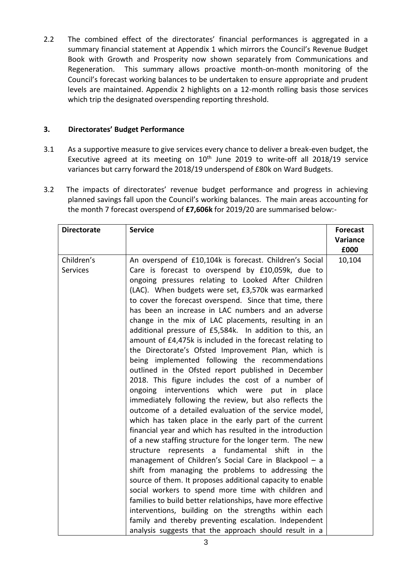2.2 The combined effect of the directorates' financial performances is aggregated in a summary financial statement at Appendix 1 which mirrors the Council's Revenue Budget Book with Growth and Prosperity now shown separately from Communications and Regeneration. This summary allows proactive month-on-month monitoring of the Council's forecast working balances to be undertaken to ensure appropriate and prudent levels are maintained. Appendix 2 highlights on a 12-month rolling basis those services which trip the designated overspending reporting threshold.

# **3. Directorates' Budget Performance**

- 3.1 As a supportive measure to give services every chance to deliver a break-even budget, the Executive agreed at its meeting on  $10<sup>th</sup>$  June 2019 to write-off all 2018/19 service variances but carry forward the 2018/19 underspend of £80k on Ward Budgets.
- 3.2 The impacts of directorates' revenue budget performance and progress in achieving planned savings fall upon the Council's working balances. The main areas accounting for the month 7 forecast overspend of **£7,606k** for 2019/20 are summarised below:-

| <b>Directorate</b> | <b>Service</b>                                              | <b>Forecast</b> |
|--------------------|-------------------------------------------------------------|-----------------|
|                    |                                                             | Variance        |
|                    |                                                             | £000            |
| Children's         | An overspend of £10,104k is forecast. Children's Social     | 10,104          |
| <b>Services</b>    | Care is forecast to overspend by £10,059k, due to           |                 |
|                    | ongoing pressures relating to Looked After Children         |                 |
|                    | (LAC). When budgets were set, £3,570k was earmarked         |                 |
|                    | to cover the forecast overspend. Since that time, there     |                 |
|                    | has been an increase in LAC numbers and an adverse          |                 |
|                    | change in the mix of LAC placements, resulting in an        |                 |
|                    | additional pressure of £5,584k. In addition to this, an     |                 |
|                    | amount of £4,475k is included in the forecast relating to   |                 |
|                    | the Directorate's Ofsted Improvement Plan, which is         |                 |
|                    | being implemented following the recommendations             |                 |
|                    | outlined in the Ofsted report published in December         |                 |
|                    | 2018. This figure includes the cost of a number of          |                 |
|                    | ongoing interventions which were put in<br>place            |                 |
|                    | immediately following the review, but also reflects the     |                 |
|                    | outcome of a detailed evaluation of the service model,      |                 |
|                    | which has taken place in the early part of the current      |                 |
|                    | financial year and which has resulted in the introduction   |                 |
|                    | of a new staffing structure for the longer term. The new    |                 |
|                    | represents a fundamental shift<br>structure<br>in the       |                 |
|                    | management of Children's Social Care in Blackpool - a       |                 |
|                    | shift from managing the problems to addressing the          |                 |
|                    | source of them. It proposes additional capacity to enable   |                 |
|                    | social workers to spend more time with children and         |                 |
|                    | families to build better relationships, have more effective |                 |
|                    | interventions, building on the strengths within each        |                 |
|                    | family and thereby preventing escalation. Independent       |                 |
|                    | analysis suggests that the approach should result in a      |                 |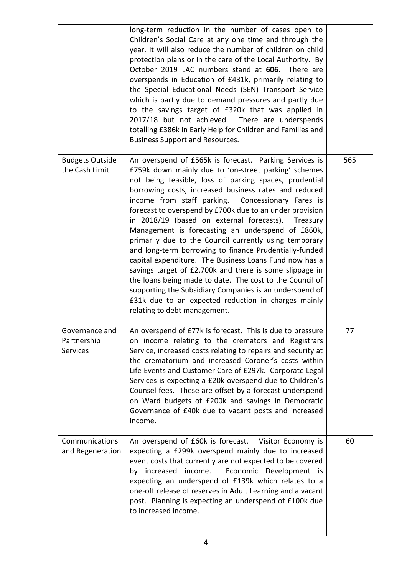|                                                  | long-term reduction in the number of cases open to<br>Children's Social Care at any one time and through the<br>year. It will also reduce the number of children on child<br>protection plans or in the care of the Local Authority. By<br>October 2019 LAC numbers stand at 606. There are<br>overspends in Education of £431k, primarily relating to<br>the Special Educational Needs (SEN) Transport Service<br>which is partly due to demand pressures and partly due<br>to the savings target of £320k that was applied in<br>2017/18 but not achieved. There are underspends<br>totalling £386k in Early Help for Children and Families and<br><b>Business Support and Resources.</b>                                                                                                                                                                                                                             |     |
|--------------------------------------------------|-------------------------------------------------------------------------------------------------------------------------------------------------------------------------------------------------------------------------------------------------------------------------------------------------------------------------------------------------------------------------------------------------------------------------------------------------------------------------------------------------------------------------------------------------------------------------------------------------------------------------------------------------------------------------------------------------------------------------------------------------------------------------------------------------------------------------------------------------------------------------------------------------------------------------|-----|
| <b>Budgets Outside</b><br>the Cash Limit         | An overspend of £565k is forecast. Parking Services is<br>£759k down mainly due to 'on-street parking' schemes<br>not being feasible, loss of parking spaces, prudential<br>borrowing costs, increased business rates and reduced<br>income from staff parking. Concessionary Fares is<br>forecast to overspend by £700k due to an under provision<br>in 2018/19 (based on external forecasts).<br>Treasury<br>Management is forecasting an underspend of £860k,<br>primarily due to the Council currently using temporary<br>and long-term borrowing to finance Prudentially-funded<br>capital expenditure. The Business Loans Fund now has a<br>savings target of £2,700k and there is some slippage in<br>the loans being made to date. The cost to the Council of<br>supporting the Subsidiary Companies is an underspend of<br>£31k due to an expected reduction in charges mainly<br>relating to debt management. | 565 |
| Governance and<br>Partnership<br><b>Services</b> | An overspend of £77k is forecast. This is due to pressure<br>on income relating to the cremators and Registrars<br>Service, increased costs relating to repairs and security at<br>the crematorium and increased Coroner's costs within<br>Life Events and Customer Care of £297k. Corporate Legal<br>Services is expecting a £20k overspend due to Children's<br>Counsel fees. These are offset by a forecast underspend<br>on Ward budgets of £200k and savings in Democratic<br>Governance of £40k due to vacant posts and increased<br>income.                                                                                                                                                                                                                                                                                                                                                                      | 77  |
| Communications<br>and Regeneration               | An overspend of £60k is forecast. Visitor Economy is<br>expecting a £299k overspend mainly due to increased<br>event costs that currently are not expected to be covered<br>increased<br>income.<br>Economic Development is<br>by<br>expecting an underspend of £139k which relates to a<br>one-off release of reserves in Adult Learning and a vacant<br>post. Planning is expecting an underspend of £100k due<br>to increased income.                                                                                                                                                                                                                                                                                                                                                                                                                                                                                | 60  |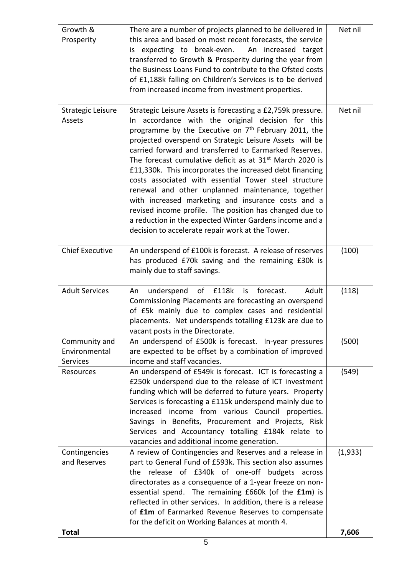| <b>Total</b>                               |                                                                                                                                                                                                                                                                                                                                                                                                                                                                                                                                                                                                                                                                                                                                                                                             | 7,606   |
|--------------------------------------------|---------------------------------------------------------------------------------------------------------------------------------------------------------------------------------------------------------------------------------------------------------------------------------------------------------------------------------------------------------------------------------------------------------------------------------------------------------------------------------------------------------------------------------------------------------------------------------------------------------------------------------------------------------------------------------------------------------------------------------------------------------------------------------------------|---------|
| Contingencies<br>and Reserves              | A review of Contingencies and Reserves and a release in<br>part to General Fund of £593k. This section also assumes<br>the release of £340k of one-off budgets across<br>directorates as a consequence of a 1-year freeze on non-<br>essential spend. The remaining £660k (of the £1m) is<br>reflected in other services. In addition, there is a release<br>of £1m of Earmarked Revenue Reserves to compensate<br>for the deficit on Working Balances at month 4.                                                                                                                                                                                                                                                                                                                          | (1,933) |
| Resources                                  | An underspend of £549k is forecast. ICT is forecasting a<br>£250k underspend due to the release of ICT investment<br>funding which will be deferred to future years. Property<br>Services is forecasting a £115k underspend mainly due to<br>increased income from various Council properties.<br>Savings in Benefits, Procurement and Projects, Risk<br>Services and Accountancy totalling £184k relate to<br>vacancies and additional income generation.                                                                                                                                                                                                                                                                                                                                  | (549)   |
| Community and<br>Environmental<br>Services | An underspend of £500k is forecast. In-year pressures<br>are expected to be offset by a combination of improved<br>income and staff vacancies.                                                                                                                                                                                                                                                                                                                                                                                                                                                                                                                                                                                                                                              | (500)   |
| <b>Adult Services</b>                      | of<br>£118k<br>forecast.<br>Adult<br>underspend<br>is<br>An<br>Commissioning Placements are forecasting an overspend<br>of £5k mainly due to complex cases and residential<br>placements. Net underspends totalling £123k are due to<br>vacant posts in the Directorate.                                                                                                                                                                                                                                                                                                                                                                                                                                                                                                                    | (118)   |
| <b>Chief Executive</b>                     | An underspend of £100k is forecast. A release of reserves<br>has produced £70k saving and the remaining £30k is<br>mainly due to staff savings.                                                                                                                                                                                                                                                                                                                                                                                                                                                                                                                                                                                                                                             | (100)   |
| <b>Strategic Leisure</b><br>Assets         | Strategic Leisure Assets is forecasting a £2,759k pressure.<br>In accordance with the original decision for this<br>programme by the Executive on 7 <sup>th</sup> February 2011, the<br>projected overspend on Strategic Leisure Assets will be<br>carried forward and transferred to Earmarked Reserves.<br>The forecast cumulative deficit as at 31 <sup>st</sup> March 2020 is<br>£11,330k. This incorporates the increased debt financing<br>costs associated with essential Tower steel structure<br>renewal and other unplanned maintenance, together<br>with increased marketing and insurance costs and a<br>revised income profile. The position has changed due to<br>a reduction in the expected Winter Gardens income and a<br>decision to accelerate repair work at the Tower. | Net nil |
| Growth &<br>Prosperity                     | There are a number of projects planned to be delivered in<br>this area and based on most recent forecasts, the service<br>is expecting to break-even. An increased target<br>transferred to Growth & Prosperity during the year from<br>the Business Loans Fund to contribute to the Ofsted costs<br>of £1,188k falling on Children's Services is to be derived<br>from increased income from investment properties.                                                                                                                                                                                                                                                                                                                                                                        | Net nil |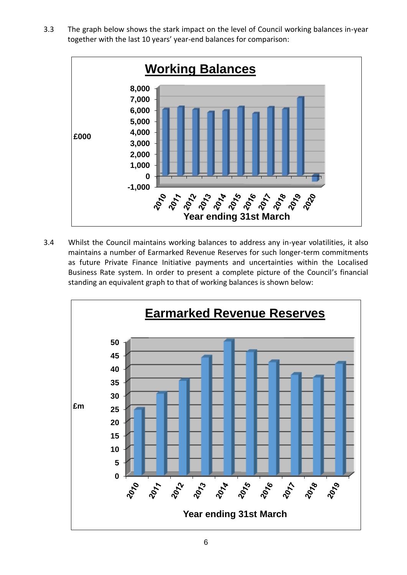3.3 The graph below shows the stark impact on the level of Council working balances in-year together with the last 10 years' year-end balances for comparison:



3.4 Whilst the Council maintains working balances to address any in-year volatilities, it also maintains a number of Earmarked Revenue Reserves for such longer-term commitments as future Private Finance Initiative payments and uncertainties within the Localised Business Rate system. In order to present a complete picture of the Council's financial standing an equivalent graph to that of working balances is shown below:

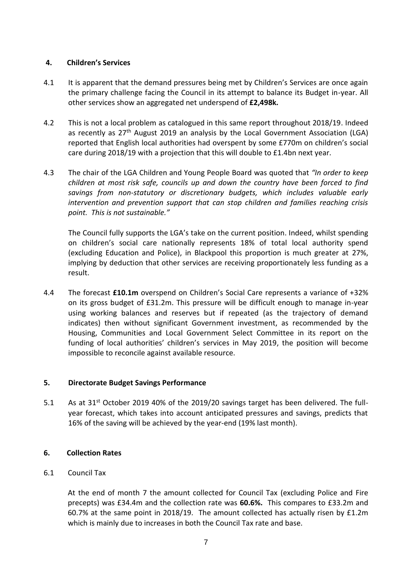## **4. Children's Services**

- 4.1 It is apparent that the demand pressures being met by Children's Services are once again the primary challenge facing the Council in its attempt to balance its Budget in-year. All other services show an aggregated net underspend of **£2,498k.**
- 4.2 This is not a local problem as catalogued in this same report throughout 2018/19. Indeed as recently as 27<sup>th</sup> August 2019 an analysis by the Local Government Association (LGA) reported that English local authorities had overspent by some £770m on children's social care during 2018/19 with a projection that this will double to £1.4bn next year.
- 4.3 The chair of the LGA Children and Young People Board was quoted that *"In order to keep children at most risk safe, councils up and down the country have been forced to find savings from non-statutory or discretionary budgets, which includes valuable early intervention and prevention support that can stop children and families reaching crisis point. This is not sustainable."*

The Council fully supports the LGA's take on the current position. Indeed, whilst spending on children's social care nationally represents 18% of total local authority spend (excluding Education and Police), in Blackpool this proportion is much greater at 27%, implying by deduction that other services are receiving proportionately less funding as a result.

4.4 The forecast **£10.1m** overspend on Children's Social Care represents a variance of +32% on its gross budget of £31.2m. This pressure will be difficult enough to manage in-year using working balances and reserves but if repeated (as the trajectory of demand indicates) then without significant Government investment, as recommended by the Housing, Communities and Local Government Select Committee in its report on the funding of local authorities' children's services in May 2019, the position will become impossible to reconcile against available resource.

# **5. Directorate Budget Savings Performance**

5.1 As at 31<sup>st</sup> October 2019 40% of the 2019/20 savings target has been delivered. The fullyear forecast, which takes into account anticipated pressures and savings, predicts that 16% of the saving will be achieved by the year-end (19% last month).

# **6. Collection Rates**

6.1 Council Tax

At the end of month 7 the amount collected for Council Tax (excluding Police and Fire precepts) was £34.4m and the collection rate was **60.6%.** This compares to £33.2m and 60.7% at the same point in 2018/19. The amount collected has actually risen by  $£1.2m$ which is mainly due to increases in both the Council Tax rate and base.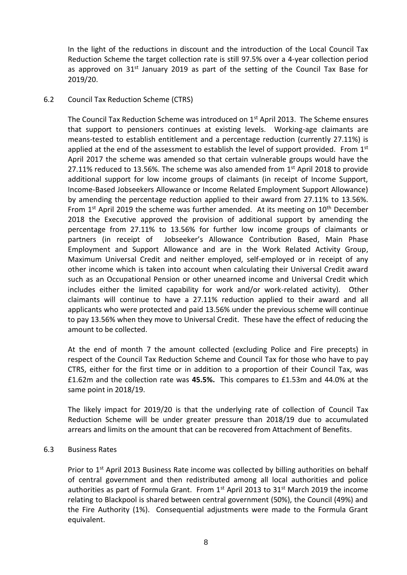In the light of the reductions in discount and the introduction of the Local Council Tax Reduction Scheme the target collection rate is still 97.5% over a 4-year collection period as approved on  $31^{st}$  January 2019 as part of the setting of the Council Tax Base for 2019/20.

## 6.2 Council Tax Reduction Scheme (CTRS)

The Council Tax Reduction Scheme was introduced on 1<sup>st</sup> April 2013. The Scheme ensures that support to pensioners continues at existing levels. Working-age claimants are means-tested to establish entitlement and a percentage reduction (currently 27.11%) is applied at the end of the assessment to establish the level of support provided. From  $1<sup>st</sup>$ April 2017 the scheme was amended so that certain vulnerable groups would have the 27.11% reduced to 13.56%. The scheme was also amended from  $1<sup>st</sup>$  April 2018 to provide additional support for low income groups of claimants (in receipt of Income Support, Income-Based Jobseekers Allowance or Income Related Employment Support Allowance) by amending the percentage reduction applied to their award from 27.11% to 13.56%. From  $1<sup>st</sup>$  April 2019 the scheme was further amended. At its meeting on  $10<sup>th</sup>$  December 2018 the Executive approved the provision of additional support by amending the percentage from 27.11% to 13.56% for further low income groups of claimants or partners (in receipt of Jobseeker's Allowance Contribution Based, Main Phase Employment and Support Allowance and are in the Work Related Activity Group, Maximum Universal Credit and neither employed, self-employed or in receipt of any other income which is taken into account when calculating their Universal Credit award such as an Occupational Pension or other unearned income and Universal Credit which includes either the limited capability for work and/or work-related activity). Other claimants will continue to have a 27.11% reduction applied to their award and all applicants who were protected and paid 13.56% under the previous scheme will continue to pay 13.56% when they move to Universal Credit. These have the effect of reducing the amount to be collected.

At the end of month 7 the amount collected (excluding Police and Fire precepts) in respect of the Council Tax Reduction Scheme and Council Tax for those who have to pay CTRS, either for the first time or in addition to a proportion of their Council Tax, was £1.62m and the collection rate was **45.5%.** This compares to £1.53m and 44.0% at the same point in 2018/19.

The likely impact for 2019/20 is that the underlying rate of collection of Council Tax Reduction Scheme will be under greater pressure than 2018/19 due to accumulated arrears and limits on the amount that can be recovered from Attachment of Benefits.

### 6.3 Business Rates

Prior to  $1<sup>st</sup>$  April 2013 Business Rate income was collected by billing authorities on behalf of central government and then redistributed among all local authorities and police authorities as part of Formula Grant. From  $1<sup>st</sup>$  April 2013 to 31 $<sup>st</sup>$  March 2019 the income</sup> relating to Blackpool is shared between central government (50%), the Council (49%) and the Fire Authority (1%). Consequential adjustments were made to the Formula Grant equivalent.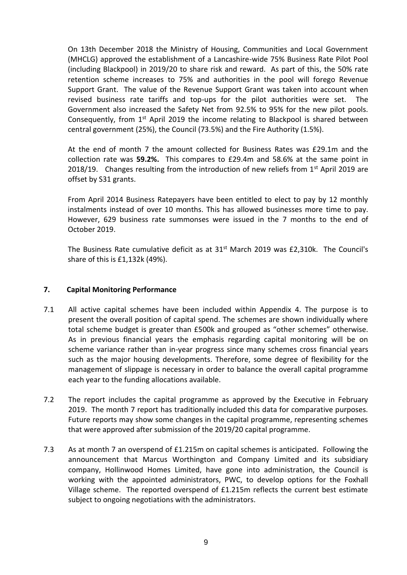On 13th December 2018 the Ministry of Housing, Communities and Local Government (MHCLG) approved the establishment of a Lancashire-wide 75% Business Rate Pilot Pool (including Blackpool) in 2019/20 to share risk and reward. As part of this, the 50% rate retention scheme increases to 75% and authorities in the pool will forego Revenue Support Grant. The value of the Revenue Support Grant was taken into account when revised business rate tariffs and top-ups for the pilot authorities were set. The Government also increased the Safety Net from 92.5% to 95% for the new pilot pools. Consequently, from  $1<sup>st</sup>$  April 2019 the income relating to Blackpool is shared between central government (25%), the Council (73.5%) and the Fire Authority (1.5%).

At the end of month 7 the amount collected for Business Rates was £29.1m and the collection rate was **59.2%.** This compares to £29.4m and 58.6% at the same point in 2018/19. Changes resulting from the introduction of new reliefs from  $1<sup>st</sup>$  April 2019 are offset by S31 grants.

From April 2014 Business Ratepayers have been entitled to elect to pay by 12 monthly instalments instead of over 10 months. This has allowed businesses more time to pay. However, 629 business rate summonses were issued in the 7 months to the end of October 2019.

The Business Rate cumulative deficit as at  $31<sup>st</sup>$  March 2019 was £2,310k. The Council's share of this is £1,132k (49%).

## **7. Capital Monitoring Performance**

- 7.1 All active capital schemes have been included within Appendix 4. The purpose is to present the overall position of capital spend. The schemes are shown individually where total scheme budget is greater than £500k and grouped as "other schemes" otherwise. As in previous financial years the emphasis regarding capital monitoring will be on scheme variance rather than in-year progress since many schemes cross financial years such as the major housing developments. Therefore, some degree of flexibility for the management of slippage is necessary in order to balance the overall capital programme each year to the funding allocations available.
- 7.2 The report includes the capital programme as approved by the Executive in February 2019. The month 7 report has traditionally included this data for comparative purposes. Future reports may show some changes in the capital programme, representing schemes that were approved after submission of the 2019/20 capital programme.
- 7.3 As at month 7 an overspend of £1.215m on capital schemes is anticipated. Following the announcement that Marcus Worthington and Company Limited and its subsidiary company, Hollinwood Homes Limited, have gone into administration, the Council is working with the appointed administrators, PWC, to develop options for the Foxhall Village scheme. The reported overspend of £1.215m reflects the current best estimate subject to ongoing negotiations with the administrators.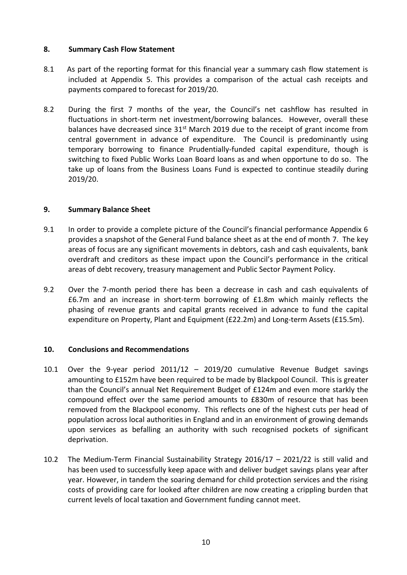# **8. Summary Cash Flow Statement**

- 8.1 As part of the reporting format for this financial year a summary cash flow statement is included at Appendix 5. This provides a comparison of the actual cash receipts and payments compared to forecast for 2019/20.
- 8.2 During the first 7 months of the year, the Council's net cashflow has resulted in fluctuations in short-term net investment/borrowing balances. However, overall these balances have decreased since  $31<sup>st</sup>$  March 2019 due to the receipt of grant income from central government in advance of expenditure. The Council is predominantly using temporary borrowing to finance Prudentially-funded capital expenditure, though is switching to fixed Public Works Loan Board loans as and when opportune to do so. The take up of loans from the Business Loans Fund is expected to continue steadily during 2019/20.

## **9. Summary Balance Sheet**

- 9.1 In order to provide a complete picture of the Council's financial performance Appendix 6 provides a snapshot of the General Fund balance sheet as at the end of month 7. The key areas of focus are any significant movements in debtors, cash and cash equivalents, bank overdraft and creditors as these impact upon the Council's performance in the critical areas of debt recovery, treasury management and Public Sector Payment Policy.
- 9.2 Over the 7-month period there has been a decrease in cash and cash equivalents of £6.7m and an increase in short-term borrowing of £1.8m which mainly reflects the phasing of revenue grants and capital grants received in advance to fund the capital expenditure on Property, Plant and Equipment (£22.2m) and Long-term Assets (£15.5m).

### **10. Conclusions and Recommendations**

- 10.1 Over the 9-year period 2011/12 2019/20 cumulative Revenue Budget savings amounting to £152m have been required to be made by Blackpool Council. This is greater than the Council's annual Net Requirement Budget of £124m and even more starkly the compound effect over the same period amounts to £830m of resource that has been removed from the Blackpool economy. This reflects one of the highest cuts per head of population across local authorities in England and in an environment of growing demands upon services as befalling an authority with such recognised pockets of significant deprivation.
- 10.2 The Medium-Term Financial Sustainability Strategy 2016/17 2021/22 is still valid and has been used to successfully keep apace with and deliver budget savings plans year after year. However, in tandem the soaring demand for child protection services and the rising costs of providing care for looked after children are now creating a crippling burden that current levels of local taxation and Government funding cannot meet.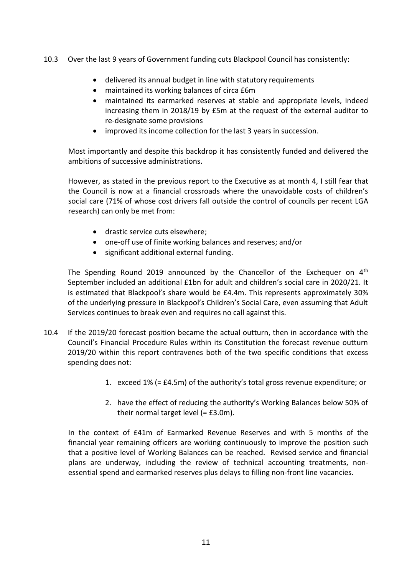10.3 Over the last 9 years of Government funding cuts Blackpool Council has consistently:

- delivered its annual budget in line with statutory requirements
- maintained its working balances of circa £6m
- maintained its earmarked reserves at stable and appropriate levels, indeed increasing them in 2018/19 by £5m at the request of the external auditor to re-designate some provisions
- improved its income collection for the last 3 years in succession.

Most importantly and despite this backdrop it has consistently funded and delivered the ambitions of successive administrations.

However, as stated in the previous report to the Executive as at month 4, I still fear that the Council is now at a financial crossroads where the unavoidable costs of children's social care (71% of whose cost drivers fall outside the control of councils per recent LGA research) can only be met from:

- drastic service cuts elsewhere;
- one-off use of finite working balances and reserves; and/or
- significant additional external funding.

The Spending Round 2019 announced by the Chancellor of the Exchequer on  $4<sup>th</sup>$ September included an additional £1bn for adult and children's social care in 2020/21. It is estimated that Blackpool's share would be £4.4m. This represents approximately 30% of the underlying pressure in Blackpool's Children's Social Care, even assuming that Adult Services continues to break even and requires no call against this.

- 10.4 If the 2019/20 forecast position became the actual outturn, then in accordance with the Council's Financial Procedure Rules within its Constitution the forecast revenue outturn 2019/20 within this report contravenes both of the two specific conditions that excess spending does not:
	- 1. exceed 1% (= £4.5m) of the authority's total gross revenue expenditure; or
	- 2. have the effect of reducing the authority's Working Balances below 50% of their normal target level (= £3.0m).

In the context of £41m of Earmarked Revenue Reserves and with 5 months of the financial year remaining officers are working continuously to improve the position such that a positive level of Working Balances can be reached. Revised service and financial plans are underway, including the review of technical accounting treatments, nonessential spend and earmarked reserves plus delays to filling non-front line vacancies.